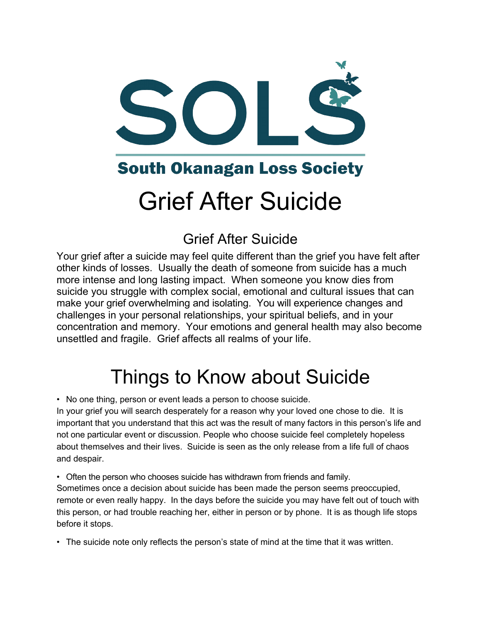

### **South Okanagan Loss Society**

# Grief After Suicide

### Grief After Suicide

Your grief after a suicide may feel quite different than the grief you have felt after other kinds of losses. Usually the death of someone from suicide has a much more intense and long lasting impact. When someone you know dies from suicide you struggle with complex social, emotional and cultural issues that can make your grief overwhelming and isolating. You will experience changes and challenges in your personal relationships, your spiritual beliefs, and in your concentration and memory. Your emotions and general health may also become unsettled and fragile. Grief affects all realms of your life.

# Things to Know about Suicide

• No one thing, person or event leads a person to choose suicide.

In your grief you will search desperately for a reason why your loved one chose to die. It is important that you understand that this act was the result of many factors in this person's life and not one particular event or discussion. People who choose suicide feel completely hopeless about themselves and their lives. Suicide is seen as the only release from a life full of chaos and despair.

• Often the person who chooses suicide has withdrawn from friends and family.

Sometimes once a decision about suicide has been made the person seems preoccupied, remote or even really happy. In the days before the suicide you may have felt out of touch with this person, or had trouble reaching her, either in person or by phone. It is as though life stops before it stops.

• The suicide note only reflects the person's state of mind at the time that it was written.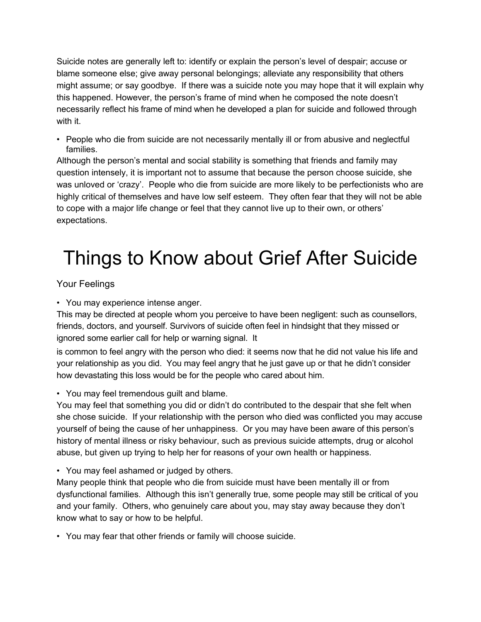Suicide notes are generally left to: identify or explain the person's level of despair; accuse or blame someone else; give away personal belongings; alleviate any responsibility that others might assume; or say goodbye. If there was a suicide note you may hope that it will explain why this happened. However, the person's frame of mind when he composed the note doesn't necessarily reflect his frame of mind when he developed a plan for suicide and followed through with it.

• People who die from suicide are not necessarily mentally ill or from abusive and neglectful families.

Although the person's mental and social stability is something that friends and family may question intensely, it is important not to assume that because the person choose suicide, she was unloved or 'crazy'. People who die from suicide are more likely to be perfectionists who are highly critical of themselves and have low self esteem. They often fear that they will not be able to cope with a major life change or feel that they cannot live up to their own, or others' expectations.

# Things to Know about Grief After Suicide

#### Your Feelings

• You may experience intense anger.

This may be directed at people whom you perceive to have been negligent: such as counsellors, friends, doctors, and yourself. Survivors of suicide often feel in hindsight that they missed or ignored some earlier call for help or warning signal. It

is common to feel angry with the person who died: it seems now that he did not value his life and your relationship as you did. You may feel angry that he just gave up or that he didn't consider how devastating this loss would be for the people who cared about him.

• You may feel tremendous guilt and blame.

You may feel that something you did or didn't do contributed to the despair that she felt when she chose suicide. If your relationship with the person who died was conflicted you may accuse yourself of being the cause of her unhappiness. Or you may have been aware of this person's history of mental illness or risky behaviour, such as previous suicide attempts, drug or alcohol abuse, but given up trying to help her for reasons of your own health or happiness.

• You may feel ashamed or judged by others.

Many people think that people who die from suicide must have been mentally ill or from dysfunctional families. Although this isn't generally true, some people may still be critical of you and your family. Others, who genuinely care about you, may stay away because they don't know what to say or how to be helpful.

• You may fear that other friends or family will choose suicide.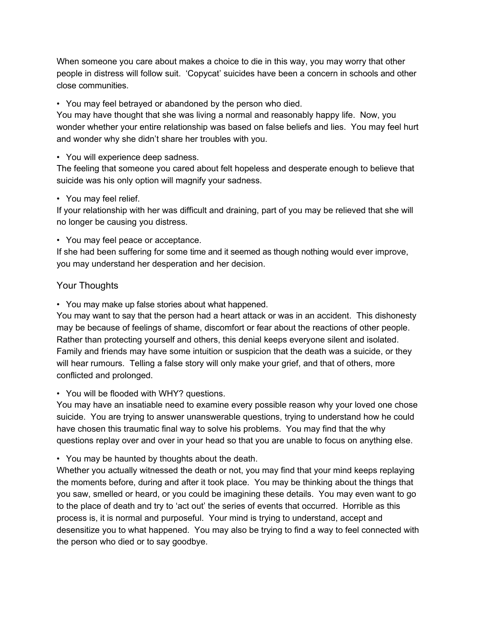When someone you care about makes a choice to die in this way, you may worry that other people in distress will follow suit. 'Copycat' suicides have been a concern in schools and other close communities.

• You may feel betrayed or abandoned by the person who died.

You may have thought that she was living a normal and reasonably happy life. Now, you wonder whether your entire relationship was based on false beliefs and lies. You may feel hurt and wonder why she didn't share her troubles with you.

• You will experience deep sadness.

The feeling that someone you cared about felt hopeless and desperate enough to believe that suicide was his only option will magnify your sadness.

#### • You may feel relief.

If your relationship with her was difficult and draining, part of you may be relieved that she will no longer be causing you distress.

• You may feel peace or acceptance.

If she had been suffering for some time and it seemed as though nothing would ever improve, you may understand her desperation and her decision.

#### Your Thoughts

• You may make up false stories about what happened.

You may want to say that the person had a heart attack or was in an accident. This dishonesty may be because of feelings of shame, discomfort or fear about the reactions of other people. Rather than protecting yourself and others, this denial keeps everyone silent and isolated. Family and friends may have some intuition or suspicion that the death was a suicide, or they will hear rumours. Telling a false story will only make your grief, and that of others, more conflicted and prolonged.

• You will be flooded with WHY? questions.

You may have an insatiable need to examine every possible reason why your loved one chose suicide. You are trying to answer unanswerable questions, trying to understand how he could have chosen this traumatic final way to solve his problems. You may find that the why questions replay over and over in your head so that you are unable to focus on anything else.

• You may be haunted by thoughts about the death.

Whether you actually witnessed the death or not, you may find that your mind keeps replaying the moments before, during and after it took place. You may be thinking about the things that you saw, smelled or heard, or you could be imagining these details. You may even want to go to the place of death and try to 'act out' the series of events that occurred. Horrible as this process is, it is normal and purposeful. Your mind is trying to understand, accept and desensitize you to what happened. You may also be trying to find a way to feel connected with the person who died or to say goodbye.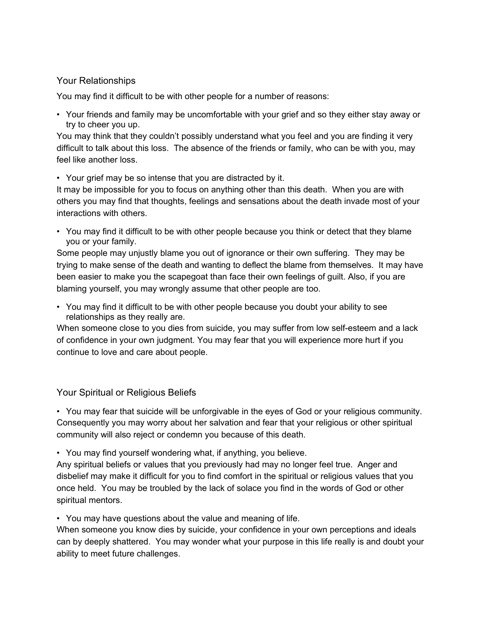#### Your Relationships

You may find it difficult to be with other people for a number of reasons:

• Your friends and family may be uncomfortable with your grief and so they either stay away or try to cheer you up.

You may think that they couldn't possibly understand what you feel and you are finding it very difficult to talk about this loss. The absence of the friends or family, who can be with you, may feel like another loss.

• Your grief may be so intense that you are distracted by it.

It may be impossible for you to focus on anything other than this death. When you are with others you may find that thoughts, feelings and sensations about the death invade most of your interactions with others.

• You may find it difficult to be with other people because you think or detect that they blame you or your family.

Some people may unjustly blame you out of ignorance or their own suffering. They may be trying to make sense of the death and wanting to deflect the blame from themselves. It may have been easier to make you the scapegoat than face their own feelings of guilt. Also, if you are blaming yourself, you may wrongly assume that other people are too.

• You may find it difficult to be with other people because you doubt your ability to see relationships as they really are.

When someone close to you dies from suicide, you may suffer from low self-esteem and a lack of confidence in your own judgment. You may fear that you will experience more hurt if you continue to love and care about people.

Your Spiritual or Religious Beliefs

• You may fear that suicide will be unforgivable in the eyes of God or your religious community. Consequently you may worry about her salvation and fear that your religious or other spiritual community will also reject or condemn you because of this death.

• You may find yourself wondering what, if anything, you believe.

Any spiritual beliefs or values that you previously had may no longer feel true. Anger and disbelief may make it difficult for you to find comfort in the spiritual or religious values that you once held. You may be troubled by the lack of solace you find in the words of God or other spiritual mentors.

• You may have questions about the value and meaning of life.

When someone you know dies by suicide, your confidence in your own perceptions and ideals can by deeply shattered. You may wonder what your purpose in this life really is and doubt your ability to meet future challenges.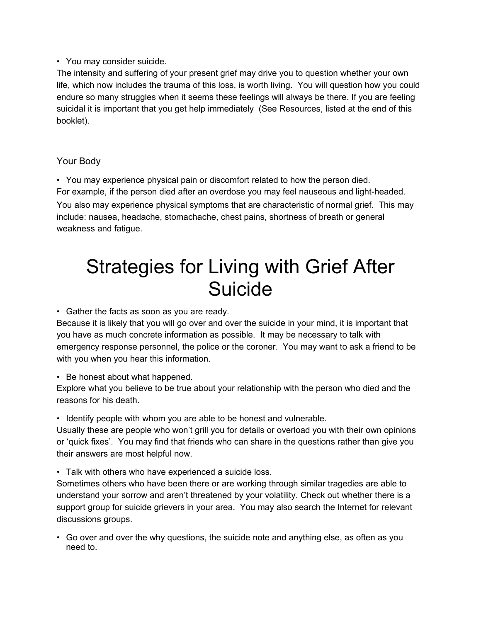#### • You may consider suicide.

The intensity and suffering of your present grief may drive you to question whether your own life, which now includes the trauma of this loss, is worth living. You will question how you could endure so many struggles when it seems these feelings will always be there. If you are feeling suicidal it is important that you get help immediately (See Resources, listed at the end of this booklet).

#### Your Body

• You may experience physical pain or discomfort related to how the person died. For example, if the person died after an overdose you may feel nauseous and light-headed. You also may experience physical symptoms that are characteristic of normal grief. This may include: nausea, headache, stomachache, chest pains, shortness of breath or general weakness and fatigue.

## Strategies for Living with Grief After **Suicide**

• Gather the facts as soon as you are ready.

Because it is likely that you will go over and over the suicide in your mind, it is important that you have as much concrete information as possible. It may be necessary to talk with emergency response personnel, the police or the coroner. You may want to ask a friend to be with you when you hear this information.

• Be honest about what happened.

Explore what you believe to be true about your relationship with the person who died and the reasons for his death.

• Identify people with whom you are able to be honest and vulnerable.

Usually these are people who won't grill you for details or overload you with their own opinions or 'quick fixes'. You may find that friends who can share in the questions rather than give you their answers are most helpful now.

• Talk with others who have experienced a suicide loss.

Sometimes others who have been there or are working through similar tragedies are able to understand your sorrow and aren't threatened by your volatility. Check out whether there is a support group for suicide grievers in your area. You may also search the Internet for relevant discussions groups.

• Go over and over the why questions, the suicide note and anything else, as often as you need to.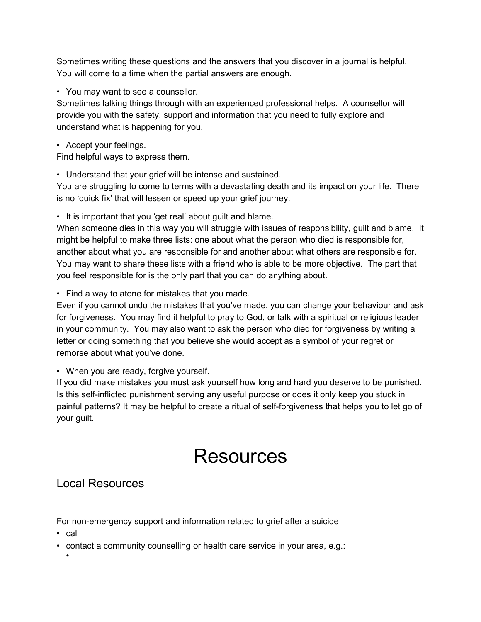Sometimes writing these questions and the answers that you discover in a journal is helpful. You will come to a time when the partial answers are enough.

• You may want to see a counsellor.

Sometimes talking things through with an experienced professional helps. A counsellor will provide you with the safety, support and information that you need to fully explore and understand what is happening for you.

• Accept your feelings.

Find helpful ways to express them.

• Understand that your grief will be intense and sustained.

You are struggling to come to terms with a devastating death and its impact on your life. There is no 'quick fix' that will lessen or speed up your grief journey.

• It is important that you 'get real' about guilt and blame.

When someone dies in this way you will struggle with issues of responsibility, guilt and blame. It might be helpful to make three lists: one about what the person who died is responsible for, another about what you are responsible for and another about what others are responsible for. You may want to share these lists with a friend who is able to be more objective. The part that you feel responsible for is the only part that you can do anything about.

• Find a way to atone for mistakes that you made.

Even if you cannot undo the mistakes that you've made, you can change your behaviour and ask for forgiveness. You may find it helpful to pray to God, or talk with a spiritual or religious leader in your community. You may also want to ask the person who died for forgiveness by writing a letter or doing something that you believe she would accept as a symbol of your regret or remorse about what you've done.

• When you are ready, forgive yourself.

If you did make mistakes you must ask yourself how long and hard you deserve to be punished. Is this self-inflicted punishment serving any useful purpose or does it only keep you stuck in painful patterns? It may be helpful to create a ritual of self-forgiveness that helps you to let go of your guilt.

# Resources

#### Local Resources

For non-emergency support and information related to grief after a suicide

• call

•

• contact a community counselling or health care service in your area, e.g.: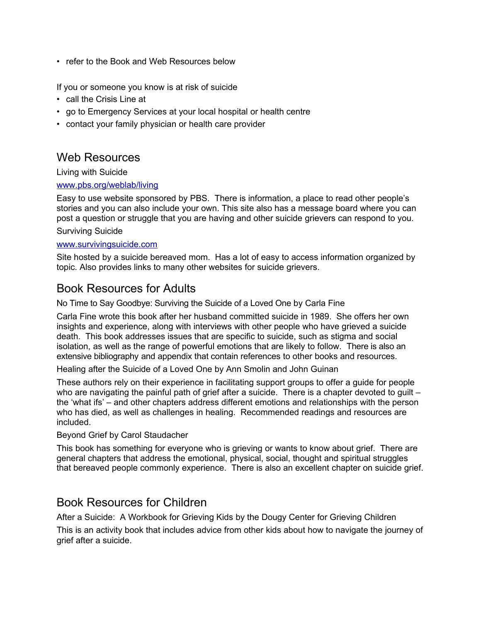• refer to the Book and Web Resources below

If you or someone you know is at risk of suicide

- call the Crisis Line at
- go to Emergency Services at your local hospital or health centre
- contact your family physician or health care provider

#### Web Resources

Living with Suicide

#### [www.pbs.org/weblab/living](http://www.pbs.org/weblab/living)

Easy to use website sponsored by PBS. There is information, a place to read other people's stories and you can also include your own. This site also has a message board where you can post a question or struggle that you are having and other suicide grievers can respond to you.

#### Surviving Suicide

#### [www.survivingsuicide.com](http://www.survivingsuicide.com/)

Site hosted by a suicide bereaved mom. Has a lot of easy to access information organized by topic. Also provides links to many other websites for suicide grievers.

#### Book Resources for Adults

No Time to Say Goodbye: Surviving the Suicide of a Loved One by Carla Fine

Carla Fine wrote this book after her husband committed suicide in 1989. She offers her own insights and experience, along with interviews with other people who have grieved a suicide death. This book addresses issues that are specific to suicide, such as stigma and social isolation, as well as the range of powerful emotions that are likely to follow. There is also an extensive bibliography and appendix that contain references to other books and resources.

Healing after the Suicide of a Loved One by Ann Smolin and John Guinan

These authors rely on their experience in facilitating support groups to offer a guide for people who are navigating the painful path of grief after a suicide. There is a chapter devoted to guilt – the 'what ifs' – and other chapters address different emotions and relationships with the person who has died, as well as challenges in healing. Recommended readings and resources are included.

Beyond Grief by Carol Staudacher

This book has something for everyone who is grieving or wants to know about grief. There are general chapters that address the emotional, physical, social, thought and spiritual struggles that bereaved people commonly experience. There is also an excellent chapter on suicide grief.

#### Book Resources for Children

After a Suicide: A Workbook for Grieving Kids by the Dougy Center for Grieving Children

This is an activity book that includes advice from other kids about how to navigate the journey of grief after a suicide.